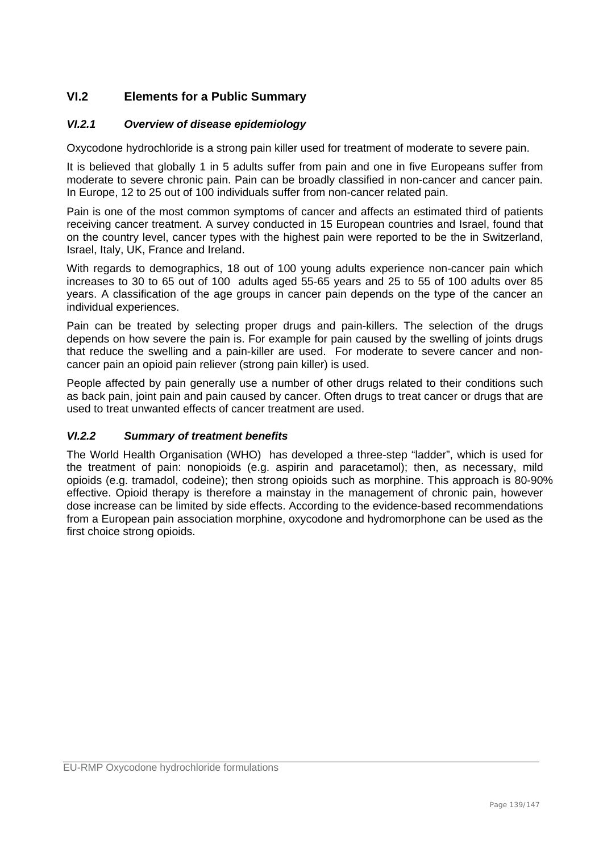## **VI.2 Elements for a Public Summary**

#### *VI.2.1 Overview of disease epidemiology*

Oxycodone hydrochloride is a strong pain killer used for treatment of moderate to severe pain.

It is believed that globally 1 in 5 adults suffer from pain and one in five Europeans suffer from moderate to severe chronic pain. Pain can be broadly classified in non-cancer and cancer pain. In Europe, 12 to 25 out of 100 individuals suffer from non-cancer related pain.

Pain is one of the most common symptoms of cancer and affects an estimated third of patients receiving cancer treatment. A survey conducted in 15 European countries and Israel, found that on the country level, cancer types with the highest pain were reported to be the in Switzerland, Israel, Italy, UK, France and Ireland.

With regards to demographics, 18 out of 100 young adults experience non-cancer pain which increases to 30 to 65 out of 100 adults aged 55-65 years and 25 to 55 of 100 adults over 85 years. A classification of the age groups in cancer pain depends on the type of the cancer an individual experiences.

Pain can be treated by selecting proper drugs and pain-killers. The selection of the drugs depends on how severe the pain is. For example for pain caused by the swelling of joints drugs that reduce the swelling and a pain-killer are used. For moderate to severe cancer and noncancer pain an opioid pain reliever (strong pain killer) is used.

People affected by pain generally use a number of other drugs related to their conditions such as back pain, joint pain and pain caused by cancer. Often drugs to treat cancer or drugs that are used to treat unwanted effects of cancer treatment are used.

#### *VI.2.2 Summary of treatment benefits*

The World Health Organisation (WHO) has developed a three-step "ladder", which is used for the treatment of pain: nonopioids (e.g. aspirin and paracetamol); then, as necessary, mild opioids (e.g. tramadol, codeine); then strong opioids such as morphine. This approach is 80-90% effective. Opioid therapy is therefore a mainstay in the management of chronic pain, however dose increase can be limited by side effects. According to the evidence-based recommendations from a European pain association morphine, oxycodone and hydromorphone can be used as the first choice strong opioids.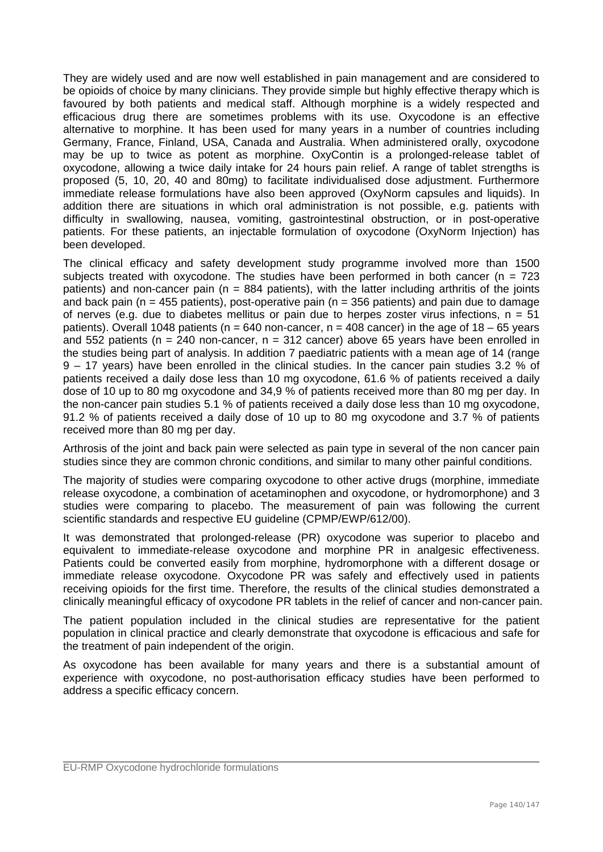They are widely used and are now well established in pain management and are considered to be opioids of choice by many clinicians. They provide simple but highly effective therapy which is favoured by both patients and medical staff. Although morphine is a widely respected and efficacious drug there are sometimes problems with its use. Oxycodone is an effective alternative to morphine. It has been used for many years in a number of countries including Germany, France, Finland, USA, Canada and Australia. When administered orally, oxycodone may be up to twice as potent as morphine. OxyContin is a prolonged-release tablet of oxycodone, allowing a twice daily intake for 24 hours pain relief. A range of tablet strengths is proposed (5, 10, 20, 40 and 80mg) to facilitate individualised dose adjustment. Furthermore immediate release formulations have also been approved (OxyNorm capsules and liquids). In addition there are situations in which oral administration is not possible, e.g. patients with difficulty in swallowing, nausea, vomiting, gastrointestinal obstruction, or in post-operative patients. For these patients, an injectable formulation of oxycodone (OxyNorm Injection) has been developed.

The clinical efficacy and safety development study programme involved more than 1500 subjects treated with oxycodone. The studies have been performed in both cancer ( $n = 723$ ) patients) and non-cancer pain ( $n = 884$  patients), with the latter including arthritis of the joints and back pain ( $n = 455$  patients), post-operative pain ( $n = 356$  patients) and pain due to damage of nerves (e.g. due to diabetes mellitus or pain due to herpes zoster virus infections,  $n = 51$ patients). Overall 1048 patients ( $n = 640$  non-cancer,  $n = 408$  cancer) in the age of 18 – 65 years and 552 patients (n = 240 non-cancer, n = 312 cancer) above 65 years have been enrolled in the studies being part of analysis. In addition 7 paediatric patients with a mean age of 14 (range 9 – 17 years) have been enrolled in the clinical studies. In the cancer pain studies 3.2 % of patients received a daily dose less than 10 mg oxycodone, 61.6 % of patients received a daily dose of 10 up to 80 mg oxycodone and 34,9 % of patients received more than 80 mg per day. In the non-cancer pain studies 5.1 % of patients received a daily dose less than 10 mg oxycodone, 91.2 % of patients received a daily dose of 10 up to 80 mg oxycodone and 3.7 % of patients received more than 80 mg per day.

Arthrosis of the joint and back pain were selected as pain type in several of the non cancer pain studies since they are common chronic conditions, and similar to many other painful conditions.

The majority of studies were comparing oxycodone to other active drugs (morphine, immediate release oxycodone, a combination of acetaminophen and oxycodone, or hydromorphone) and 3 studies were comparing to placebo. The measurement of pain was following the current scientific standards and respective EU guideline (CPMP/EWP/612/00).

It was demonstrated that prolonged-release (PR) oxycodone was superior to placebo and equivalent to immediate-release oxycodone and morphine PR in analgesic effectiveness. Patients could be converted easily from morphine, hydromorphone with a different dosage or immediate release oxycodone. Oxycodone PR was safely and effectively used in patients receiving opioids for the first time. Therefore, the results of the clinical studies demonstrated a clinically meaningful efficacy of oxycodone PR tablets in the relief of cancer and non-cancer pain.

The patient population included in the clinical studies are representative for the patient population in clinical practice and clearly demonstrate that oxycodone is efficacious and safe for the treatment of pain independent of the origin.

As oxycodone has been available for many years and there is a substantial amount of experience with oxycodone, no post-authorisation efficacy studies have been performed to address a specific efficacy concern.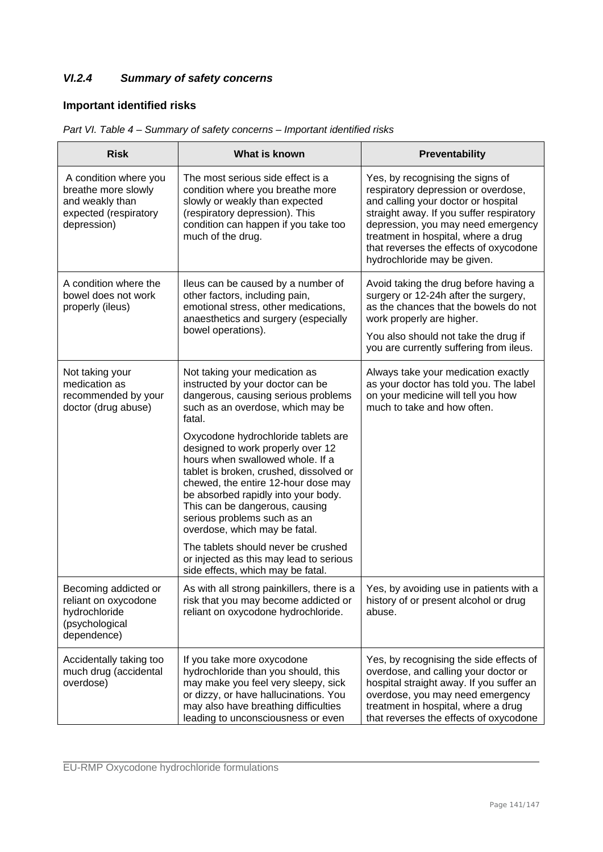# *VI.2.4 Summary of safety concerns*

# **Important identified risks**

| <b>Risk</b>                                                                                             | What is known                                                                                                                                                                                                                                                                                                                           | Preventability                                                                                                                                                                                                                                                                                                   |
|---------------------------------------------------------------------------------------------------------|-----------------------------------------------------------------------------------------------------------------------------------------------------------------------------------------------------------------------------------------------------------------------------------------------------------------------------------------|------------------------------------------------------------------------------------------------------------------------------------------------------------------------------------------------------------------------------------------------------------------------------------------------------------------|
| A condition where you<br>breathe more slowly<br>and weakly than<br>expected (respiratory<br>depression) | The most serious side effect is a<br>condition where you breathe more<br>slowly or weakly than expected<br>(respiratory depression). This<br>condition can happen if you take too<br>much of the drug.                                                                                                                                  | Yes, by recognising the signs of<br>respiratory depression or overdose,<br>and calling your doctor or hospital<br>straight away. If you suffer respiratory<br>depression, you may need emergency<br>treatment in hospital, where a drug<br>that reverses the effects of oxycodone<br>hydrochloride may be given. |
| A condition where the<br>bowel does not work<br>properly (ileus)                                        | Ileus can be caused by a number of<br>other factors, including pain,<br>emotional stress, other medications,<br>anaesthetics and surgery (especially<br>bowel operations).                                                                                                                                                              | Avoid taking the drug before having a<br>surgery or 12-24h after the surgery,<br>as the chances that the bowels do not<br>work properly are higher.<br>You also should not take the drug if<br>you are currently suffering from ileus.                                                                           |
| Not taking your<br>medication as<br>recommended by your<br>doctor (drug abuse)                          | Not taking your medication as<br>instructed by your doctor can be<br>dangerous, causing serious problems<br>such as an overdose, which may be<br>fatal.                                                                                                                                                                                 | Always take your medication exactly<br>as your doctor has told you. The label<br>on your medicine will tell you how<br>much to take and how often.                                                                                                                                                               |
|                                                                                                         | Oxycodone hydrochloride tablets are<br>designed to work properly over 12<br>hours when swallowed whole. If a<br>tablet is broken, crushed, dissolved or<br>chewed, the entire 12-hour dose may<br>be absorbed rapidly into your body.<br>This can be dangerous, causing<br>serious problems such as an<br>overdose, which may be fatal. |                                                                                                                                                                                                                                                                                                                  |
|                                                                                                         | The tablets should never be crushed<br>or injected as this may lead to serious<br>side effects, which may be fatal.                                                                                                                                                                                                                     |                                                                                                                                                                                                                                                                                                                  |
| Becoming addicted or<br>reliant on oxycodone<br>hydrochloride<br>(psychological<br>dependence)          | As with all strong painkillers, there is a<br>risk that you may become addicted or<br>reliant on oxycodone hydrochloride.                                                                                                                                                                                                               | Yes, by avoiding use in patients with a<br>history of or present alcohol or drug<br>abuse.                                                                                                                                                                                                                       |
| Accidentally taking too<br>much drug (accidental<br>overdose)                                           | If you take more oxycodone<br>hydrochloride than you should, this<br>may make you feel very sleepy, sick<br>or dizzy, or have hallucinations. You<br>may also have breathing difficulties<br>leading to unconsciousness or even                                                                                                         | Yes, by recognising the side effects of<br>overdose, and calling your doctor or<br>hospital straight away. If you suffer an<br>overdose, you may need emergency<br>treatment in hospital, where a drug<br>that reverses the effects of oxycodone                                                                 |

|  | Part VI. Table 4 – Summary of safety concerns – Important identified risks |  |  |
|--|----------------------------------------------------------------------------|--|--|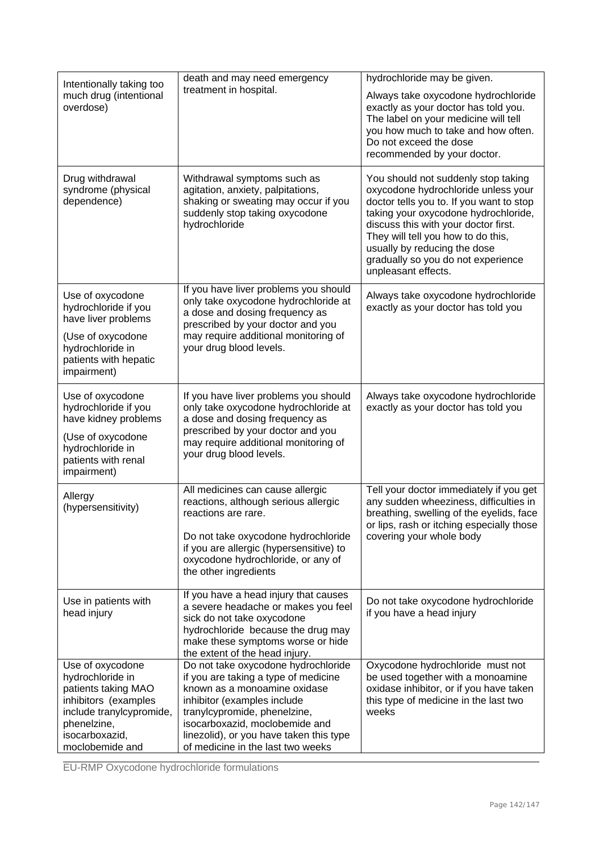| Intentionally taking too<br>much drug (intentional<br>overdose)                                                                                                     | death and may need emergency<br>treatment in hospital.                                                                                                                                                                                                                                       | hydrochloride may be given.<br>Always take oxycodone hydrochloride<br>exactly as your doctor has told you.<br>The label on your medicine will tell<br>you how much to take and how often.<br>Do not exceed the dose<br>recommended by your doctor.                                                                                        |
|---------------------------------------------------------------------------------------------------------------------------------------------------------------------|----------------------------------------------------------------------------------------------------------------------------------------------------------------------------------------------------------------------------------------------------------------------------------------------|-------------------------------------------------------------------------------------------------------------------------------------------------------------------------------------------------------------------------------------------------------------------------------------------------------------------------------------------|
| Drug withdrawal<br>syndrome (physical<br>dependence)                                                                                                                | Withdrawal symptoms such as<br>agitation, anxiety, palpitations,<br>shaking or sweating may occur if you<br>suddenly stop taking oxycodone<br>hydrochloride                                                                                                                                  | You should not suddenly stop taking<br>oxycodone hydrochloride unless your<br>doctor tells you to. If you want to stop<br>taking your oxycodone hydrochloride,<br>discuss this with your doctor first.<br>They will tell you how to do this,<br>usually by reducing the dose<br>gradually so you do not experience<br>unpleasant effects. |
| Use of oxycodone<br>hydrochloride if you<br>have liver problems<br>(Use of oxycodone<br>hydrochloride in<br>patients with hepatic<br>impairment)                    | If you have liver problems you should<br>only take oxycodone hydrochloride at<br>a dose and dosing frequency as<br>prescribed by your doctor and you<br>may require additional monitoring of<br>your drug blood levels.                                                                      | Always take oxycodone hydrochloride<br>exactly as your doctor has told you                                                                                                                                                                                                                                                                |
| Use of oxycodone<br>hydrochloride if you<br>have kidney problems<br>(Use of oxycodone<br>hydrochloride in<br>patients with renal<br>impairment)                     | If you have liver problems you should<br>only take oxycodone hydrochloride at<br>a dose and dosing frequency as<br>prescribed by your doctor and you<br>may require additional monitoring of<br>your drug blood levels.                                                                      | Always take oxycodone hydrochloride<br>exactly as your doctor has told you                                                                                                                                                                                                                                                                |
| Allergy<br>(hypersensitivity)                                                                                                                                       | All medicines can cause allergic<br>reactions, although serious allergic<br>reactions are rare.<br>Do not take oxycodone hydrochloride<br>if you are allergic (hypersensitive) to<br>oxycodone hydrochloride, or any of<br>the other ingredients                                             | Tell your doctor immediately if you get<br>any sudden wheeziness, difficulties in<br>breathing, swelling of the eyelids, face<br>or lips, rash or itching especially those<br>covering your whole body                                                                                                                                    |
| Use in patients with<br>head injury                                                                                                                                 | If you have a head injury that causes<br>a severe headache or makes you feel<br>sick do not take oxycodone<br>hydrochloride because the drug may<br>make these symptoms worse or hide<br>the extent of the head injury.                                                                      | Do not take oxycodone hydrochloride<br>if you have a head injury                                                                                                                                                                                                                                                                          |
| Use of oxycodone<br>hydrochloride in<br>patients taking MAO<br>inhibitors (examples<br>include tranylcypromide,<br>phenelzine,<br>isocarboxazid,<br>moclobemide and | Do not take oxycodone hydrochloride<br>if you are taking a type of medicine<br>known as a monoamine oxidase<br>inhibitor (examples include<br>tranylcypromide, phenelzine,<br>isocarboxazid, moclobemide and<br>linezolid), or you have taken this type<br>of medicine in the last two weeks | Oxycodone hydrochloride must not<br>be used together with a monoamine<br>oxidase inhibitor, or if you have taken<br>this type of medicine in the last two<br>weeks                                                                                                                                                                        |

EU-RMP Oxycodone hydrochloride formulations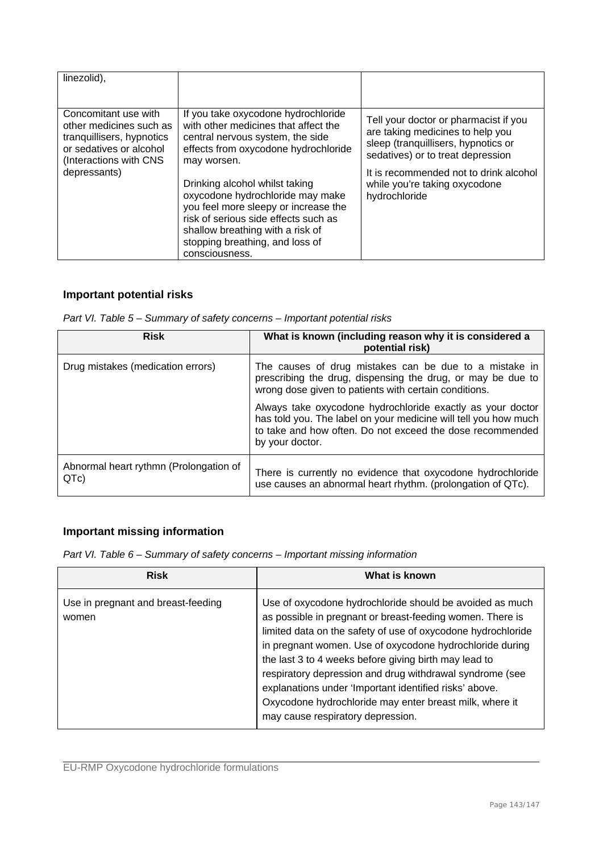| linezolid),                                                                                                                                       |                                                                                                                                                                                                                                                                                                                                                                                                                       |                                                                                                                                                                                                                                                   |
|---------------------------------------------------------------------------------------------------------------------------------------------------|-----------------------------------------------------------------------------------------------------------------------------------------------------------------------------------------------------------------------------------------------------------------------------------------------------------------------------------------------------------------------------------------------------------------------|---------------------------------------------------------------------------------------------------------------------------------------------------------------------------------------------------------------------------------------------------|
| Concomitant use with<br>other medicines such as<br>tranquillisers, hypnotics<br>or sedatives or alcohol<br>(Interactions with CNS<br>depressants) | If you take oxycodone hydrochloride<br>with other medicines that affect the<br>central nervous system, the side<br>effects from oxycodone hydrochloride<br>may worsen.<br>Drinking alcohol whilst taking<br>oxycodone hydrochloride may make<br>you feel more sleepy or increase the<br>risk of serious side effects such as<br>shallow breathing with a risk of<br>stopping breathing, and loss of<br>consciousness. | Tell your doctor or pharmacist if you<br>are taking medicines to help you<br>sleep (tranquillisers, hypnotics or<br>sedatives) or to treat depression<br>It is recommended not to drink alcohol<br>while you're taking oxycodone<br>hydrochloride |

### **Important potential risks**

| Part VI. Table 5 - Summary of safety concerns - Important potential risks |
|---------------------------------------------------------------------------|
|---------------------------------------------------------------------------|

| <b>Risk</b>                                    | What is known (including reason why it is considered a<br>potential risk)                                                                                                                                     |
|------------------------------------------------|---------------------------------------------------------------------------------------------------------------------------------------------------------------------------------------------------------------|
| Drug mistakes (medication errors)              | The causes of drug mistakes can be due to a mistake in<br>prescribing the drug, dispensing the drug, or may be due to<br>wrong dose given to patients with certain conditions.                                |
|                                                | Always take oxycodone hydrochloride exactly as your doctor<br>has told you. The label on your medicine will tell you how much<br>to take and how often. Do not exceed the dose recommended<br>by your doctor. |
| Abnormal heart rythmn (Prolongation of<br>QTc) | There is currently no evidence that oxycodone hydrochloride<br>use causes an abnormal heart rhythm. (prolongation of QTc).                                                                                    |

# **Important missing information**

*Part VI. Table 6 – Summary of safety concerns – Important missing information* 

| <b>Risk</b>                                 | What is known                                                                                                                                                                                                                                                                                                                                                                                                                                                                                                                    |
|---------------------------------------------|----------------------------------------------------------------------------------------------------------------------------------------------------------------------------------------------------------------------------------------------------------------------------------------------------------------------------------------------------------------------------------------------------------------------------------------------------------------------------------------------------------------------------------|
| Use in pregnant and breast-feeding<br>women | Use of oxycodone hydrochloride should be avoided as much<br>as possible in pregnant or breast-feeding women. There is<br>limited data on the safety of use of oxycodone hydrochloride<br>in pregnant women. Use of oxycodone hydrochloride during<br>the last 3 to 4 weeks before giving birth may lead to<br>respiratory depression and drug withdrawal syndrome (see<br>explanations under 'Important identified risks' above.<br>Oxycodone hydrochloride may enter breast milk, where it<br>may cause respiratory depression. |